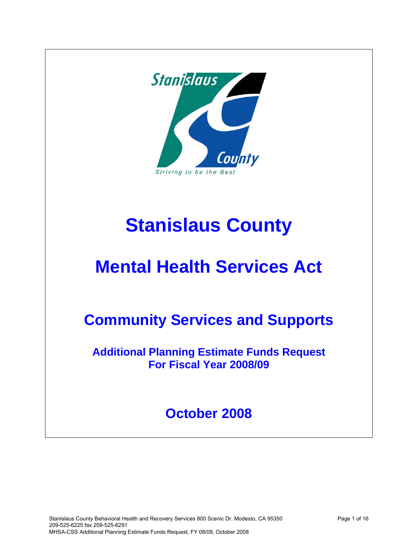

# **Stanislaus County**

# **Mental Health Services Act**

## **Community Services and Supports**

**Additional Planning Estimate Funds Request For Fiscal Year 2008/09**

## **October 2008**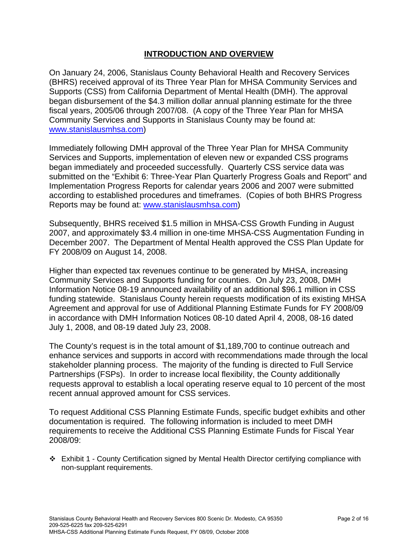### **INTRODUCTION AND OVERVIEW**

On January 24, 2006, Stanislaus County Behavioral Health and Recovery Services (BHRS) received approval of its Three Year Plan for MHSA Community Services and Supports (CSS) from California Department of Mental Health (DMH). The approval began disbursement of the \$4.3 million dollar annual planning estimate for the three fiscal years, 2005/06 through 2007/08. (A copy of the Three Year Plan for MHSA Community Services and Supports in Stanislaus County may be found at: [www.stanislausmhsa.com](http://www.stanislausmhsa.com/))

Immediately following DMH approval of the Three Year Plan for MHSA Community Services and Supports, implementation of eleven new or expanded CSS programs began immediately and proceeded successfully. Quarterly CSS service data was submitted on the "Exhibit 6: Three-Year Plan Quarterly Progress Goals and Report" and Implementation Progress Reports for calendar years 2006 and 2007 were submitted according to established procedures and timeframes. (Copies of both BHRS Progress Reports may be found at: [www.stanislausmhsa.com](http://www.stanislausmhsa.com/))

Subsequently, BHRS received \$1.5 million in MHSA-CSS Growth Funding in August 2007, and approximately \$3.4 million in one-time MHSA-CSS Augmentation Funding in December 2007. The Department of Mental Health approved the CSS Plan Update for FY 2008/09 on August 14, 2008.

Higher than expected tax revenues continue to be generated by MHSA, increasing Community Services and Supports funding for counties. On July 23, 2008, DMH Information Notice 08-19 announced availability of an additional \$96.1 million in CSS funding statewide. Stanislaus County herein requests modification of its existing MHSA Agreement and approval for use of Additional Planning Estimate Funds for FY 2008/09 in accordance with DMH Information Notices 08-10 dated April 4, 2008, 08-16 dated July 1, 2008, and 08-19 dated July 23, 2008.

The County's request is in the total amount of \$1,189,700 to continue outreach and enhance services and supports in accord with recommendations made through the local stakeholder planning process. The majority of the funding is directed to Full Service Partnerships (FSPs). In order to increase local flexibility, the County additionally requests approval to establish a local operating reserve equal to 10 percent of the most recent annual approved amount for CSS services.

To request Additional CSS Planning Estimate Funds, specific budget exhibits and other documentation is required. The following information is included to meet DMH requirements to receive the Additional CSS Planning Estimate Funds for Fiscal Year 2008/09:

 Exhibit 1 - County Certification signed by Mental Health Director certifying compliance with non-supplant requirements.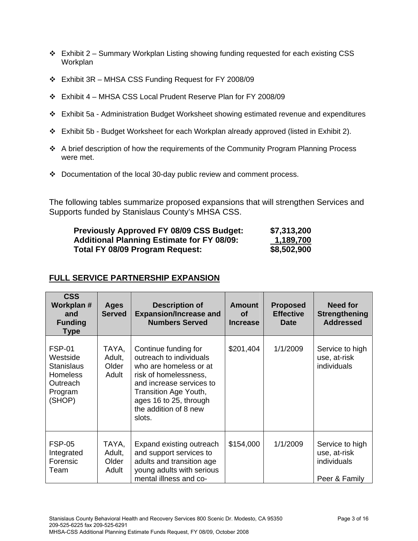- $\div$  Exhibit 2 Summary Workplan Listing showing funding requested for each existing CSS Workplan
- Exhibit 3R MHSA CSS Funding Request for FY 2008/09
- Exhibit 4 MHSA CSS Local Prudent Reserve Plan for FY 2008/09
- Exhibit 5a Administration Budget Worksheet showing estimated revenue and expenditures
- Exhibit 5b Budget Worksheet for each Workplan already approved (listed in Exhibit 2).
- A brief description of how the requirements of the Community Program Planning Process were met.
- Documentation of the local 30-day public review and comment process.

The following tables summarize proposed expansions that will strengthen Services and Supports funded by Stanislaus County's MHSA CSS.

| <b>Previously Approved FY 08/09 CSS Budget:</b>   | \$7,313,200 |
|---------------------------------------------------|-------------|
| <b>Additional Planning Estimate for FY 08/09:</b> | 1,189,700   |
| Total FY 08/09 Program Request:                   | \$8,502,900 |

## **FULL SERVICE PARTNERSHIP EXPANSION**

| <b>CSS</b><br>Workplan #<br>and<br><b>Funding</b><br>Type                                          | Ages<br><b>Served</b>             | <b>Description of</b><br><b>Expansion/Increase and</b><br><b>Numbers Served</b>                                                                                                                                      | <b>Amount</b><br>Οf<br><b>Increase</b> | <b>Proposed</b><br><b>Effective</b><br>Date | Need for<br><b>Strengthening</b><br><b>Addressed</b>            |
|----------------------------------------------------------------------------------------------------|-----------------------------------|----------------------------------------------------------------------------------------------------------------------------------------------------------------------------------------------------------------------|----------------------------------------|---------------------------------------------|-----------------------------------------------------------------|
| <b>FSP-01</b><br>Westside<br><b>Stanislaus</b><br><b>Homeless</b><br>Outreach<br>Program<br>(SHOP) | TAYA,<br>Adult,<br>Older<br>Adult | Continue funding for<br>outreach to individuals<br>who are homeless or at<br>risk of homelessness,<br>and increase services to<br>Transition Age Youth,<br>ages 16 to 25, through<br>the addition of 8 new<br>slots. | \$201,404                              | 1/1/2009                                    | Service to high<br>use, at-risk<br>individuals                  |
| <b>FSP-05</b><br>Integrated<br>Forensic<br>Team                                                    | TAYA,<br>Adult,<br>Older<br>Adult | Expand existing outreach<br>and support services to<br>adults and transition age<br>young adults with serious<br>mental illness and co-                                                                              | \$154,000                              | 1/1/2009                                    | Service to high<br>use, at-risk<br>individuals<br>Peer & Family |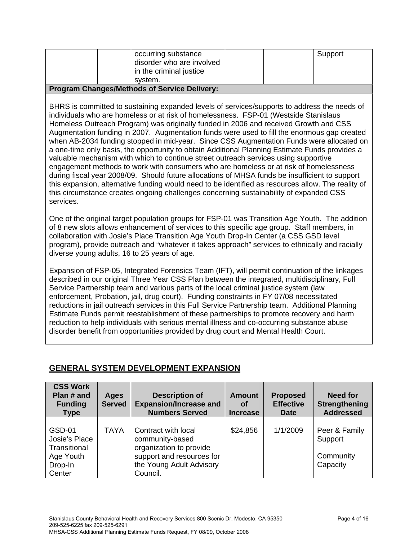| occurring substance<br>svstem.                      | disorder who are involved<br>in the criminal justice | Support |  |  |  |
|-----------------------------------------------------|------------------------------------------------------|---------|--|--|--|
| <b>Program Changes/Methods of Service Delivery:</b> |                                                      |         |  |  |  |

BHRS is committed to sustaining expanded levels of services/supports to address the needs of individuals who are homeless or at risk of homelessness. FSP-01 (Westside Stanislaus Homeless Outreach Program) was originally funded in 2006 and received Growth and CSS Augmentation funding in 2007. Augmentation funds were used to fill the enormous gap created when AB-2034 funding stopped in mid-year. Since CSS Augmentation Funds were allocated on a one-time only basis, the opportunity to obtain Additional Planning Estimate Funds provides a valuable mechanism with which to continue street outreach services using supportive engagement methods to work with consumers who are homeless or at risk of homelessness during fiscal year 2008/09. Should future allocations of MHSA funds be insufficient to support this expansion, alternative funding would need to be identified as resources allow. The reality of this circumstance creates ongoing challenges concerning sustainability of expanded CSS services.

One of the original target population groups for FSP-01 was Transition Age Youth. The addition of 8 new slots allows enhancement of services to this specific age group. Staff members, in collaboration with Josie's Place Transition Age Youth Drop-In Center (a CSS GSD level program), provide outreach and "whatever it takes approach" services to ethnically and racially diverse young adults, 16 to 25 years of age.

Expansion of FSP-05, Integrated Forensics Team (IFT), will permit continuation of the linkages described in our original Three Year CSS Plan between the integrated, multidisciplinary, Full Service Partnership team and various parts of the local criminal justice system (law enforcement, Probation, jail, drug court). Funding constraints in FY 07/08 necessitated reductions in jail outreach services in this Full Service Partnership team. Additional Planning Estimate Funds permit reestablishment of these partnerships to promote recovery and harm reduction to help individuals with serious mental illness and co-occurring substance abuse disorder benefit from opportunities provided by drug court and Mental Health Court.

## **GENERAL SYSTEM DEVELOPMENT EXPANSION**

| <b>CSS Work</b><br>Plan # and<br><b>Funding</b><br><b>Type</b>                   | <b>Ages</b><br><b>Served</b> | <b>Description of</b><br><b>Expansion/Increase and</b><br><b>Numbers Served</b>                                                        | <b>Amount</b><br>Οf<br><b>Increase</b> | <b>Proposed</b><br><b>Effective</b><br><b>Date</b> | <b>Need for</b><br><b>Strengthening</b><br><b>Addressed</b> |
|----------------------------------------------------------------------------------|------------------------------|----------------------------------------------------------------------------------------------------------------------------------------|----------------------------------------|----------------------------------------------------|-------------------------------------------------------------|
| <b>GSD-01</b><br>Josie's Place<br>Transitional<br>Age Youth<br>Drop-In<br>Center | TAYA                         | Contract with local<br>community-based<br>organization to provide<br>support and resources for<br>the Young Adult Advisory<br>Council. | \$24,856                               | 1/1/2009                                           | Peer & Family<br>Support<br>Community<br>Capacity           |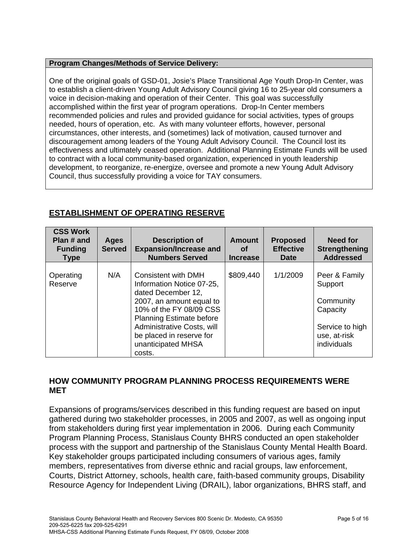#### **Program Changes/Methods of Service Delivery:**

One of the original goals of GSD-01, Josie's Place Transitional Age Youth Drop-In Center, was to establish a client-driven Young Adult Advisory Council giving 16 to 25-year old consumers a voice in decision-making and operation of their Center. This goal was successfully accomplished within the first year of program operations. Drop-In Center members recommended policies and rules and provided guidance for social activities, types of groups needed, hours of operation, etc. As with many volunteer efforts, however, personal circumstances, other interests, and (sometimes) lack of motivation, caused turnover and discouragement among leaders of the Young Adult Advisory Council. The Council lost its effectiveness and ultimately ceased operation. Additional Planning Estimate Funds will be used to contract with a local community-based organization, experienced in youth leadership development, to reorganize, re-energize, oversee and promote a new Young Adult Advisory Council, thus successfully providing a voice for TAY consumers.

| <b>CSS Work</b><br>Plan # and<br><b>Funding</b><br><b>Type</b> | Ages<br><b>Served</b> | <b>Description of</b><br><b>Expansion/Increase and</b><br><b>Numbers Served</b>                                                                                                                                                                                   | <b>Amount</b><br><b>of</b><br><b>Increase</b> | <b>Proposed</b><br><b>Effective</b><br><b>Date</b> | Need for<br>Strengthening<br><b>Addressed</b>                                                       |
|----------------------------------------------------------------|-----------------------|-------------------------------------------------------------------------------------------------------------------------------------------------------------------------------------------------------------------------------------------------------------------|-----------------------------------------------|----------------------------------------------------|-----------------------------------------------------------------------------------------------------|
| Operating<br>Reserve                                           | N/A                   | <b>Consistent with DMH</b><br>Information Notice 07-25,<br>dated December 12,<br>2007, an amount equal to<br>10% of the FY 08/09 CSS<br><b>Planning Estimate before</b><br>Administrative Costs, will<br>be placed in reserve for<br>unanticipated MHSA<br>costs. | \$809,440                                     | 1/1/2009                                           | Peer & Family<br>Support<br>Community<br>Capacity<br>Service to high<br>use, at-risk<br>individuals |

## **ESTABLISHMENT OF OPERATING RESERVE**

### **HOW COMMUNITY PROGRAM PLANNING PROCESS REQUIREMENTS WERE MET**

Expansions of programs/services described in this funding request are based on input gathered during two stakeholder processes, in 2005 and 2007, as well as ongoing input from stakeholders during first year implementation in 2006. During each Community Program Planning Process, Stanislaus County BHRS conducted an open stakeholder process with the support and partnership of the Stanislaus County Mental Health Board. Key stakeholder groups participated including consumers of various ages, family members, representatives from diverse ethnic and racial groups, law enforcement, Courts, District Attorney, schools, health care, faith-based community groups, Disability Resource Agency for Independent Living (DRAIL), labor organizations, BHRS staff, and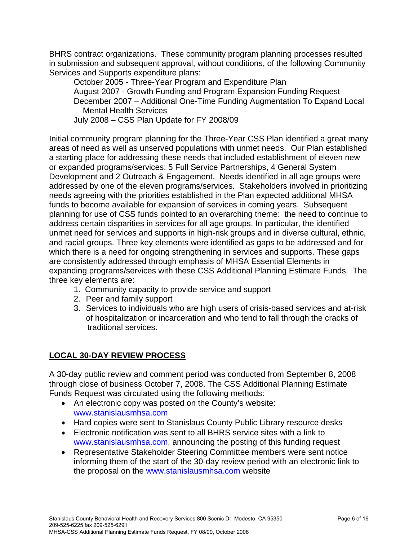BHRS contract organizations. These community program planning processes resulted in submission and subsequent approval, without conditions, of the following Community Services and Supports expenditure plans:

October 2005 - Three-Year Program and Expenditure Plan August 2007 - Growth Funding and Program Expansion Funding Request December 2007 – Additional One-Time Funding Augmentation To Expand Local Mental Health Services

July 2008 – CSS Plan Update for FY 2008/09

Initial community program planning for the Three-Year CSS Plan identified a great many areas of need as well as unserved populations with unmet needs. Our Plan established a starting place for addressing these needs that included establishment of eleven new or expanded programs/services: 5 Full Service Partnerships, 4 General System Development and 2 Outreach & Engagement. Needs identified in all age groups were addressed by one of the eleven programs/services. Stakeholders involved in prioritizing needs agreeing with the priorities established in the Plan expected additional MHSA funds to become available for expansion of services in coming years. Subsequent planning for use of CSS funds pointed to an overarching theme: the need to continue to address certain disparities in services for all age groups. In particular, the identified unmet need for services and supports in high-risk groups and in diverse cultural, ethnic, and racial groups. Three key elements were identified as gaps to be addressed and for which there is a need for ongoing strengthening in services and supports. These gaps are consistently addressed through emphasis of MHSA Essential Elements in expanding programs/services with these CSS Additional Planning Estimate Funds. The three key elements are:

- 1. Community capacity to provide service and support
- 2. Peer and family support
- 3. Services to individuals who are high users of crisis-based services and at-risk of hospitalization or incarceration and who tend to fall through the cracks of traditional services.

## **LOCAL 30-DAY REVIEW PROCESS**

A 30-day public review and comment period was conducted from September 8, 2008 through close of business October 7, 2008. The CSS Additional Planning Estimate Funds Request was circulated using the following methods:

- An electronic copy was posted on the County's website: www.stanislausmhsa.com
- Hard copies were sent to Stanislaus County Public Library resource desks
- Electronic notification was sent to all BHRS service sites with a link to www.stanislausmhsa.com, announcing the posting of this funding request
- Representative Stakeholder Steering Committee members were sent notice informing them of the start of the 30-day review period with an electronic link to the proposal on the [www.stanislausm](http://www.stanislaus/)hsa.com website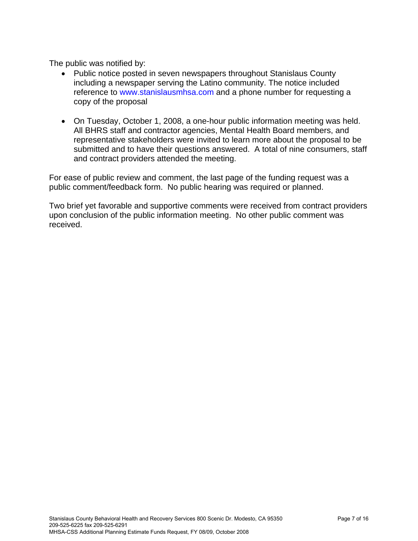The public was notified by:

- Public notice posted in seven newspapers throughout Stanislaus County including a newspaper serving the Latino community. The notice included reference to www.stanislausmhsa.com and a phone number for requesting a copy of the proposal
- On Tuesday, October 1, 2008, a one-hour public information meeting was held. All BHRS staff and contractor agencies, Mental Health Board members, and representative stakeholders were invited to learn more about the proposal to be submitted and to have their questions answered. A total of nine consumers, staff and contract providers attended the meeting.

For ease of public review and comment, the last page of the funding request was a public comment/feedback form. No public hearing was required or planned.

Two brief yet favorable and supportive comments were received from contract providers upon conclusion of the public information meeting. No other public comment was received.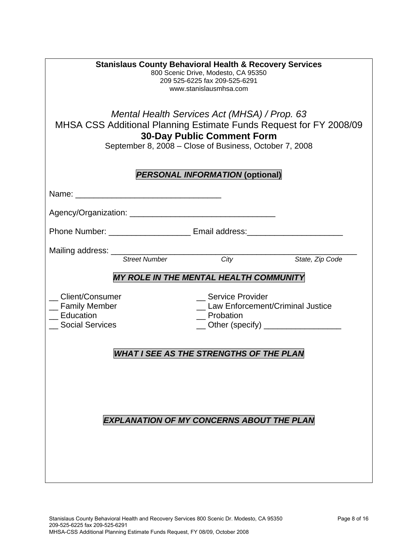| <b>Stanislaus County Behavioral Health &amp; Recovery Services</b><br>800 Scenic Drive, Modesto, CA 95350<br>209 525-6225 fax 209-525-6291<br>www.stanislausmhsa.com<br>Mental Health Services Act (MHSA) / Prop. 63<br>MHSA CSS Additional Planning Estimate Funds Request for FY 2008/09<br><b>30-Day Public Comment Form</b><br>September 8, 2008 - Close of Business, October 7, 2008 |  |  |  |  |  |  |
|-------------------------------------------------------------------------------------------------------------------------------------------------------------------------------------------------------------------------------------------------------------------------------------------------------------------------------------------------------------------------------------------|--|--|--|--|--|--|
| <b>PERSONAL INFORMATION (optional)</b>                                                                                                                                                                                                                                                                                                                                                    |  |  |  |  |  |  |
|                                                                                                                                                                                                                                                                                                                                                                                           |  |  |  |  |  |  |
|                                                                                                                                                                                                                                                                                                                                                                                           |  |  |  |  |  |  |
| Phone Number: _______________________________ Email address: ____________________                                                                                                                                                                                                                                                                                                         |  |  |  |  |  |  |
| Mailing address: Street Number City                                                                                                                                                                                                                                                                                                                                                       |  |  |  |  |  |  |
| State, Zip Code<br><b>MY ROLE IN THE MENTAL HEALTH COMMUNITY</b>                                                                                                                                                                                                                                                                                                                          |  |  |  |  |  |  |
| Client/Consumer<br>_ Service Provider<br>Law Enforcement/Criminal Justice<br><sub>__</sub> Family Member<br>Education<br>_Probation<br><b>Social Services</b><br>__ Other (specify) _________________                                                                                                                                                                                     |  |  |  |  |  |  |
| <b>WHAT I SEE AS THE STRENGTHS OF THE PLAN</b>                                                                                                                                                                                                                                                                                                                                            |  |  |  |  |  |  |
| <b>EXPLANATION OF MY CONCERNS ABOUT THE PLAN</b>                                                                                                                                                                                                                                                                                                                                          |  |  |  |  |  |  |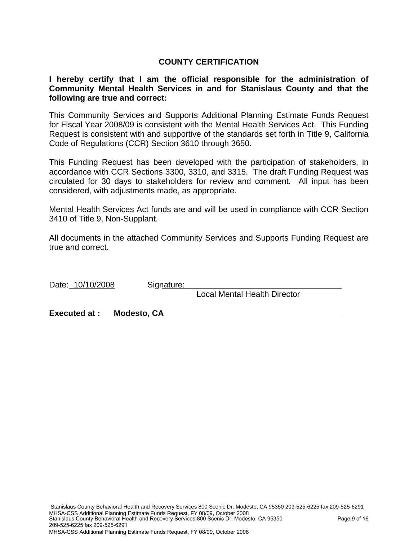### **COUNTY CERTIFICATION**

#### **I hereby certify that I am the official responsible for the administration of Community Mental Health Services in and for Stanislaus County and that the following are true and correct:**

This Community Services and Supports Additional Planning Estimate Funds Request for Fiscal Year 2008/09 is consistent with the Mental Health Services Act. This Funding Request is consistent with and supportive of the standards set forth in Title 9, California Code of Regulations (CCR) Section 3610 through 3650.

This Funding Request has been developed with the participation of stakeholders, in accordance with CCR Sections 3300, 3310, and 3315. The draft Funding Request was circulated for 30 days to stakeholders for review and comment. All input has been considered, with adjustments made, as appropriate.

Mental Health Services Act funds are and will be used in compliance with CCR Section 3410 of Title 9, Non-Supplant.

All documents in the attached Community Services and Supports Funding Request are true and correct.

| Date: 10/10/2008         | Signature: |                                     |
|--------------------------|------------|-------------------------------------|
|                          |            | <b>Local Mental Health Director</b> |
| Executed at: Modesto. CA |            |                                     |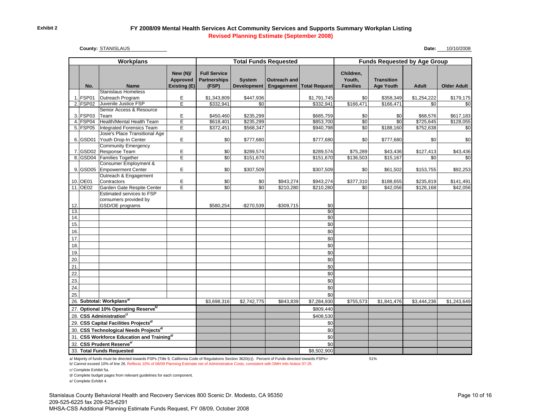#### **FY 2008/09 Mental Health Services Act Community Services and Supports Summary Workplan Listing Revised Planning Estimate (September 2008)**

**County: STANISLAUS** 

**Date:** 10/10/2008

|                                                    |                      | <b>Workplans</b>                                       |                                      | <b>Total Funds Requested</b>                        |                                     |                            | <b>Funds Requested by Age Group</b> |                                        |                                       |                        |                       |
|----------------------------------------------------|----------------------|--------------------------------------------------------|--------------------------------------|-----------------------------------------------------|-------------------------------------|----------------------------|-------------------------------------|----------------------------------------|---------------------------------------|------------------------|-----------------------|
|                                                    | No.                  | <b>Name</b>                                            | New (N)/<br>Approved<br>Existing (E) | <b>Full Service</b><br><b>Partnerships</b><br>(FSP) | <b>System</b><br><b>Development</b> | Outreach and<br>Engagement | <b>Total Request</b>                | Children,<br>Youth,<br><b>Families</b> | <b>Transition</b><br><b>Age Youth</b> | <b>Adult</b>           | <b>Older Adult</b>    |
| $\mathbf 1$                                        | FSP01                | <b>Stanislaus Homeless</b><br>Outreach Program         | Е                                    | \$1,343,809                                         | \$447,936                           |                            | \$1,791,745                         | \$0                                    | \$358,349                             | \$1,254,222            | \$179,175             |
| 2.                                                 | FSP <sub>02</sub>    | Juvenile Justice FSP                                   | Ē                                    | \$332,941                                           | \$0                                 |                            | \$332.941                           | \$166,471                              | \$166,471                             | \$0                    | \$0                   |
|                                                    |                      | Senior Access & Resource                               |                                      |                                                     |                                     |                            |                                     |                                        |                                       |                        |                       |
|                                                    | 3. FSP03             | Team                                                   | E                                    | \$450,460                                           | \$235,299                           |                            | \$685,759                           | \$0                                    | \$0                                   | \$68,576               | \$617,183             |
|                                                    | 4. FSP04             | Health/Mental Health Team                              | E                                    | \$618,401                                           | \$235,299                           |                            | \$853,700                           | \$0                                    | $\overline{50}$                       | \$725,645              | \$128,055             |
|                                                    | 5. FSP05             | Integrated Forensics Team                              | E                                    | \$372,451                                           | \$568,347                           |                            | \$940,798                           | \$0                                    | \$188,160                             | \$752,638              | \$0                   |
|                                                    | 6. GSD01             | Josie's Place Transitional Age<br>Youth Drop-In Center | E                                    | \$0                                                 | \$777,680                           |                            | \$777,680                           | \$0                                    | \$777,680                             | \$0                    | \$0                   |
|                                                    |                      | Community Emergency                                    |                                      |                                                     |                                     |                            |                                     |                                        |                                       |                        |                       |
|                                                    | 7. GSD02             | Response Team                                          | E                                    | \$0                                                 | \$289,574                           |                            | \$289,574                           | \$75,289                               | \$43,436                              | \$127,413              | \$43,436              |
|                                                    |                      | 8. GSD04 Families Together                             | E                                    | $\overline{50}$                                     | \$151,670                           |                            | \$151,670                           | \$136,503                              | \$15,167                              | $\overline{50}$        | \$0                   |
|                                                    |                      | Consumer Employment &                                  |                                      |                                                     |                                     |                            |                                     |                                        |                                       |                        |                       |
| 9.                                                 | GSD <sub>05</sub>    | <b>Empowerment Center</b>                              | E                                    | \$0                                                 | \$307,509                           |                            | \$307,509                           | \$0                                    | \$61,502                              | \$153,755              | \$92,253              |
|                                                    |                      | Outreach & Engagement<br>Contractors                   |                                      |                                                     |                                     |                            |                                     |                                        |                                       |                        |                       |
|                                                    | 10. OE01<br>11. OE02 | Garden Gate Respite Center                             | Е<br>Ē                               | \$0<br>\$0                                          | \$0<br>$\overline{30}$              | \$943,274<br>\$210,280     | \$943,274<br>\$210,280              | \$377,310<br>\$0                       | \$188,655<br>\$42,056                 | \$235,819<br>\$126,168 | \$141,491<br>\$42,056 |
|                                                    |                      | Estimated services to FSP                              |                                      |                                                     |                                     |                            |                                     |                                        |                                       |                        |                       |
|                                                    |                      | consumers provided by                                  |                                      |                                                     |                                     |                            |                                     |                                        |                                       |                        |                       |
| 12.                                                |                      | GSD/OE programs                                        |                                      | \$580,254                                           | $-$270,539$                         | $-$309,715$                | \$0                                 |                                        |                                       |                        |                       |
| 13.                                                |                      |                                                        |                                      |                                                     |                                     |                            | \$0                                 |                                        |                                       |                        |                       |
| 14.                                                |                      |                                                        |                                      |                                                     |                                     |                            | \$0                                 |                                        |                                       |                        |                       |
| 15.                                                |                      |                                                        |                                      |                                                     |                                     |                            | \$0                                 |                                        |                                       |                        |                       |
| 16.                                                |                      |                                                        |                                      |                                                     |                                     |                            | \$0                                 |                                        |                                       |                        |                       |
| 17                                                 |                      |                                                        |                                      |                                                     |                                     |                            | \$0                                 |                                        |                                       |                        |                       |
| 18.                                                |                      |                                                        |                                      |                                                     |                                     |                            | \$0                                 |                                        |                                       |                        |                       |
| 19                                                 |                      |                                                        |                                      |                                                     |                                     |                            | \$0                                 |                                        |                                       |                        |                       |
| 20                                                 |                      |                                                        |                                      |                                                     |                                     |                            | \$0                                 |                                        |                                       |                        |                       |
| 21                                                 |                      |                                                        |                                      |                                                     |                                     |                            | \$0                                 |                                        |                                       |                        |                       |
| 22                                                 |                      |                                                        |                                      |                                                     |                                     |                            | \$0                                 |                                        |                                       |                        |                       |
| 23.                                                |                      |                                                        |                                      |                                                     |                                     |                            | \$0                                 |                                        |                                       |                        |                       |
| 24.                                                |                      |                                                        |                                      |                                                     |                                     |                            | \$0                                 |                                        |                                       |                        |                       |
| 25                                                 |                      |                                                        |                                      |                                                     |                                     |                            | \$0                                 |                                        |                                       |                        |                       |
|                                                    |                      | 26. Subtotal: Workplans <sup>a/</sup>                  |                                      | \$3,698,316                                         | \$2,742,775                         | \$843,839                  | \$7,284,930                         | \$755,573                              | \$1,841,476                           | \$3,444,236            | \$1,243,649           |
|                                                    |                      | 27. Optional 10% Operating Reserve <sup>b/</sup>       |                                      |                                                     |                                     |                            | \$809,440                           |                                        |                                       |                        |                       |
| 28. CSS Administration <sup>c/</sup>               |                      |                                                        |                                      |                                                     | \$408,530                           |                            |                                     |                                        |                                       |                        |                       |
| 29. CSS Capital Facilities Projects <sup>d/</sup>  |                      |                                                        |                                      |                                                     | \$0                                 |                            |                                     |                                        |                                       |                        |                       |
| 30. CSS Technological Needs Projects <sup>d/</sup> |                      |                                                        |                                      |                                                     |                                     | \$0                        |                                     |                                        |                                       |                        |                       |
|                                                    |                      | 31. CSS Workforce Education and Training <sup>d/</sup> |                                      |                                                     |                                     |                            | \$0                                 |                                        |                                       |                        |                       |
|                                                    |                      | 32. CSS Prudent Reservee/                              |                                      |                                                     |                                     |                            | \$0                                 |                                        |                                       |                        |                       |
|                                                    |                      | 33. Total Funds Requested                              |                                      |                                                     |                                     |                            | \$8,502,900                         |                                        |                                       |                        |                       |

a/ Majority of funds must be directed towards FSPs (Title 9, California Code of Regulations Section 3620(c)). Percent of Funds directed towards FSPs= 51%

b/ Cannot exceed 10% of line 26. Reflects 10% of 08/09 Planning Estimate net of Administrative Costs, consistent with DMH Info Notice 07-25

c/ Complete Exhibit 5a.

d/ Complete budget pages from relevant guidelines for each component.

e/ Complete Exhibit 4.

Stanislaus County Behavioral Health and Recovery Services 800 Scenic Dr. Modesto, CA 95350 209-525-6225 fax 209-525-6291 MHSA-CSS Additional Planning Estimate Funds Request, FY 08/09, October 2008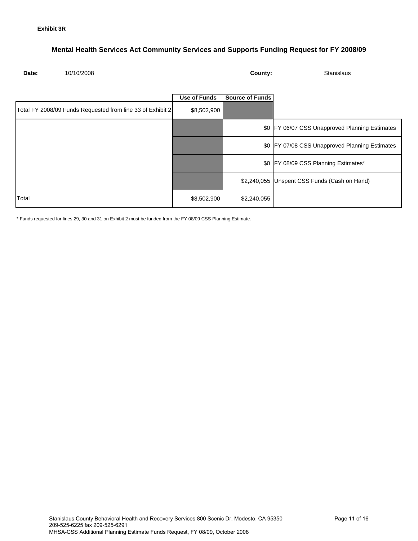#### **Mental Health Services Act Community Services and Supports Funding Request for FY 2008/09**

|--|

**County:** Stanislaus

|                                                            | Use of Funds | <b>Source of Funds</b> |                                                  |
|------------------------------------------------------------|--------------|------------------------|--------------------------------------------------|
| Total FY 2008/09 Funds Requested from line 33 of Exhibit 2 | \$8,502,900  |                        |                                                  |
|                                                            |              |                        | \$0   FY 06/07 CSS Unapproved Planning Estimates |
|                                                            |              |                        | \$0 FY 07/08 CSS Unapproved Planning Estimates   |
|                                                            |              |                        | \$0 FY 08/09 CSS Planning Estimates*             |
|                                                            |              |                        | \$2,240,055 Unspent CSS Funds (Cash on Hand)     |
| Total                                                      | \$8,502,900  | \$2,240,055            |                                                  |

\* Funds requested for lines 29, 30 and 31 on Exhibit 2 must be funded from the FY 08/09 CSS Planning Estimate.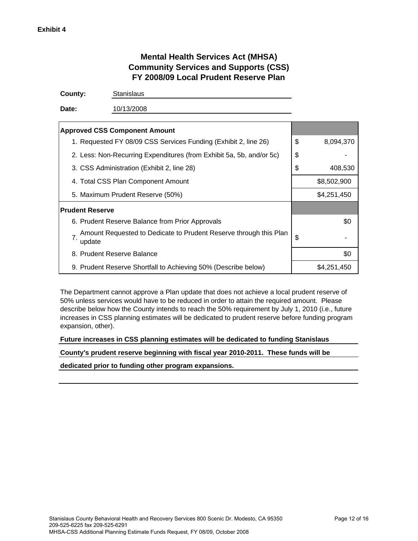## **Mental Health Services Act (MHSA) Community Services and Supports (CSS) FY 2008/09 Local Prudent Reserve Plan**

**County:** Stanislaus

**Date:** 10/13/2008

| <b>Approved CSS Component Amount</b>                                              |    |             |
|-----------------------------------------------------------------------------------|----|-------------|
| 1. Requested FY 08/09 CSS Services Funding (Exhibit 2, line 26)                   | \$ | 8,094,370   |
| 2. Less: Non-Recurring Expenditures (from Exhibit 5a, 5b, and/or 5c)              | \$ |             |
| 3. CSS Administration (Exhibit 2, line 28)                                        | S  | 408,530     |
| 4. Total CSS Plan Component Amount                                                |    | \$8,502,900 |
| 5. Maximum Prudent Reserve (50%)                                                  |    | \$4,251,450 |
| <b>Prudent Reserve</b>                                                            |    |             |
| 6. Prudent Reserve Balance from Prior Approvals                                   |    | \$0         |
| Amount Requested to Dedicate to Prudent Reserve through this Plan<br>7.<br>update | \$ |             |
| 8. Prudent Reserve Balance                                                        |    | \$0         |
| 9. Prudent Reserve Shortfall to Achieving 50% (Describe below)                    |    | \$4,251,450 |

The Department cannot approve a Plan update that does not achieve a local prudent reserve of 50% unless services would have to be reduced in order to attain the required amount. Please describe below how the County intends to reach the 50% requirement by July 1, 2010 (i.e., future increases in CSS planning estimates will be dedicated to prudent reserve before funding program expansion, other).

#### **Future increases in CSS planning estimates will be dedicated to funding Stanislaus**

**County's prudent reserve beginning with fiscal year 2010-2011. These funds will be**

**dedicated prior to funding other program expansions.**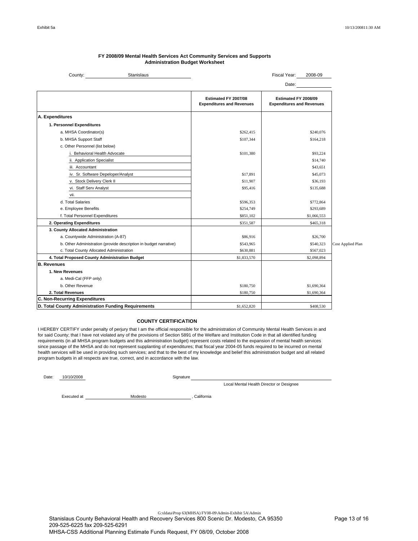| Stanislaus<br>County:                                             |                                                          | Fiscal Year:<br>2008-09                                  |                   |
|-------------------------------------------------------------------|----------------------------------------------------------|----------------------------------------------------------|-------------------|
|                                                                   |                                                          | Date:                                                    |                   |
|                                                                   | Estimated FY 2007/08<br><b>Expenditures and Revenues</b> | Estimated FY 2008/09<br><b>Expenditures and Revenues</b> |                   |
| A. Expenditures                                                   |                                                          |                                                          |                   |
| 1. Personnel Expenditures                                         |                                                          |                                                          |                   |
| a. MHSA Coordinator(s)                                            | \$262,415                                                | \$240,076                                                |                   |
| b. MHSA Support Staff                                             | \$107,344                                                | \$164,218                                                |                   |
| c. Other Personnel (list below)                                   |                                                          |                                                          |                   |
| i. Behavioral Health Advocate                                     | \$101,380                                                | \$93,224                                                 |                   |
| ii. Application Specialist                                        |                                                          | \$14,740                                                 |                   |
| iii. Accountant                                                   |                                                          | \$43,651                                                 |                   |
| iv. Sr. Software Depeloper/Analyst                                | \$17,891                                                 | \$45,073                                                 |                   |
| v. Stock Delivery Clerk II                                        | \$11,907                                                 | \$36,193                                                 |                   |
| vi. Staff Serv Analyst                                            | \$95,416                                                 | \$135,688                                                |                   |
| vii.                                                              |                                                          |                                                          |                   |
| d. Total Salaries                                                 | \$596,353                                                | \$772,864                                                |                   |
| e. Employee Benefits                                              | \$254,749                                                | \$293,689                                                |                   |
| f. Total Personnel Expenditures                                   | \$851,102                                                | \$1,066,553                                              |                   |
| 2. Operating Expenditures                                         | \$351,587                                                | \$465,318                                                |                   |
| 3. County Allocated Administration                                |                                                          |                                                          |                   |
| a. Countywide Administration (A-87)                               | \$86,916                                                 | \$26,700                                                 |                   |
| b. Other Administration (provide description in budget narrative) | \$543,965                                                | \$540,323                                                | Cost Applied Plan |
| c. Total County Allocated Administration                          | \$630,881                                                | \$567,023                                                |                   |
| 4. Total Proposed County Administration Budget                    | \$1,833,570                                              | \$2,098,894                                              |                   |
| <b>B. Revenues</b>                                                |                                                          |                                                          |                   |
| 1. New Revenues                                                   |                                                          |                                                          |                   |
| a. Medi-Cal (FFP only)                                            |                                                          |                                                          |                   |
| b. Other Revenue                                                  | \$180,750                                                | \$1,690,364                                              |                   |
| 2. Total Revenues                                                 | \$180,750                                                | \$1,690,364                                              |                   |
| C. Non-Recurring Expenditures                                     |                                                          |                                                          |                   |
| D. Total County Administration Funding Requirements               | \$1,652,820                                              | \$408,530                                                |                   |

#### **FY 2008/09 Mental Health Services Act Community Services and Supports Administration Budget Worksheet**

#### **COUNTY CERTIFICATION**

I HEREBY CERTIFY under penalty of perjury that I am the official responsible for the administration of Community Mental Health Services in and for said County; that I have not violated any of the provisions of Section 5891 of the Welfare and Institution Code in that all identified funding requirements (in all MHSA program budgets and this administration budget) represent costs related to the expansion of mental health services since passage of the MHSA and do not represent supplanting of expenditures; that fiscal year 2004-05 funds required to be incurred on mental health services will be used in providing such services; and that to the best of my knowledge and belief this administration budget and all related program budgets in all respects are true, correct, and in accordance with the law.

Date: 10/10/2008

Signature

Local Mental Health Director or Designee

Modesto , California Executed at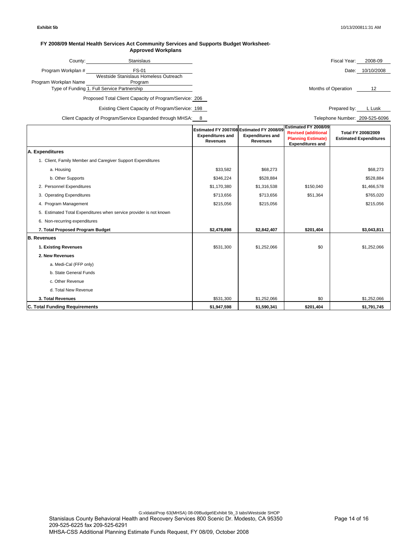#### **FY 2008/09 Mental Health Services Act Community Services and Supports Budget Worksheet-Approved Workplans**

| County:               | Stanislaus                                  | Fiscal Year:        | 2008-09    |
|-----------------------|---------------------------------------------|---------------------|------------|
| Program Workplan #    | FS-01                                       | Date:               | 10/10/2008 |
|                       | Westside Stanislaus Homeless Outreach       |                     |            |
| Program Workplan Name | Program                                     |                     |            |
|                       | Type of Funding 1. Full Service Partnership | Months of Operation |            |

Existing Client Capacity of Program/Service: 198 Prepared by: L Lusk Prepared by: L Lusk

Client Capacity of Program/Service Expanded through MHSA: 8 Telephone Number: 209-525-6096

|                                                                    | Estimated FY 2007/08 Estimated FY 2008/09<br><b>Expenditures and</b><br><b>Revenues</b> | <b>Expenditures and</b><br><b>Revenues</b> | Estimated FY 2008/09<br><b>Revised (additional</b><br><b>Planning Estimate)</b><br><b>Expenditures and</b> | <b>Total FY 2008/2009</b><br><b>Estimated Expenditures</b> |
|--------------------------------------------------------------------|-----------------------------------------------------------------------------------------|--------------------------------------------|------------------------------------------------------------------------------------------------------------|------------------------------------------------------------|
| A. Expenditures                                                    |                                                                                         |                                            |                                                                                                            |                                                            |
| 1. Client, Family Member and Caregiver Support Expenditures        |                                                                                         |                                            |                                                                                                            |                                                            |
| a. Housing                                                         | \$33,582                                                                                | \$68,273                                   |                                                                                                            | \$68,273                                                   |
| b. Other Supports                                                  | \$346,224                                                                               | \$528,884                                  |                                                                                                            | \$528,884                                                  |
| 2. Personnel Expenditures                                          | \$1,170,380                                                                             | \$1,316,538                                | \$150,040                                                                                                  | \$1,466,578                                                |
| 3. Operating Expenditures                                          | \$713,656                                                                               | \$713,656                                  | \$51,364                                                                                                   | \$765,020                                                  |
| 4. Program Management                                              | \$215,056                                                                               | \$215,056                                  |                                                                                                            | \$215,056                                                  |
| 5. Estimated Total Expenditures when service provider is not known |                                                                                         |                                            |                                                                                                            |                                                            |
| 6. Non-recurring expenditures                                      |                                                                                         |                                            |                                                                                                            |                                                            |
| 7. Total Proposed Program Budget                                   | \$2,478,898                                                                             | \$2,842,407                                | \$201,404                                                                                                  | \$3,043,811                                                |
| <b>B.</b> Revenues                                                 |                                                                                         |                                            |                                                                                                            |                                                            |
| 1. Existing Revenues                                               | \$531,300                                                                               | \$1,252,066                                | \$0                                                                                                        | \$1,252,066                                                |
| 2. New Revenues                                                    |                                                                                         |                                            |                                                                                                            |                                                            |
| a. Medi-Cal (FFP only)                                             |                                                                                         |                                            |                                                                                                            |                                                            |
| b. State General Funds                                             |                                                                                         |                                            |                                                                                                            |                                                            |
| c. Other Revenue                                                   |                                                                                         |                                            |                                                                                                            |                                                            |
| d. Total New Revenue                                               |                                                                                         |                                            |                                                                                                            |                                                            |
| 3. Total Revenues                                                  | \$531,300                                                                               | \$1,252,066                                | \$0                                                                                                        | \$1,252,066                                                |
| C. Total Funding Requirements                                      | \$1,947,598                                                                             | \$1,590,341                                | \$201,404                                                                                                  | \$1,791,745                                                |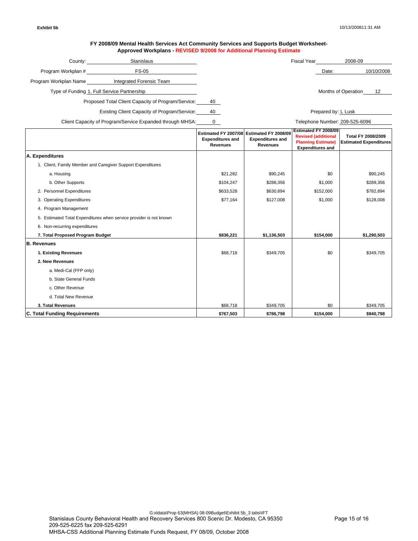#### **FY 2008/09 Mental Health Services Act Community Services and Supports Budget Worksheet-Approved Workplans - REVISED 9/2008 for Additional Planning Estimate**

| County:                                                   | Stanislaus               |    | <b>Fiscal Year</b>   | 2008-09                        |            |
|-----------------------------------------------------------|--------------------------|----|----------------------|--------------------------------|------------|
| Program Workplan #                                        | <b>FS-05</b>             |    |                      | Date:                          | 10/10/2008 |
| Program Workplan Name                                     | Integrated Forensic Team |    |                      |                                |            |
| Type of Funding 1. Full Service Partnership               |                          |    |                      | Months of Operation            | 12         |
| Proposed Total Client Capacity of Program/Service:        |                          | 40 |                      |                                |            |
| Existing Client Capacity of Program/Service:              |                          | 40 |                      | Prepared by: L Lusk            |            |
| Client Capacity of Program/Service Expanded through MHSA: |                          |    |                      | Telephone Number: 209-525-6096 |            |
|                                                           |                          |    | Ectimated EV 2009/00 |                                |            |

|                                                                    | <b>Expenditures and</b><br><b>Revenues</b> | Estimated FY 2007/08 Estimated FY 2008/09<br><b>Expenditures and</b><br><b>Revenues</b> | Estimated FY 2008/09<br><b>Revised (additional</b><br><b>Planning Estimate)</b><br><b>Expenditures and</b> | Total FY 2008/2009<br><b>Estimated Expenditures</b> |
|--------------------------------------------------------------------|--------------------------------------------|-----------------------------------------------------------------------------------------|------------------------------------------------------------------------------------------------------------|-----------------------------------------------------|
| A. Expenditures                                                    |                                            |                                                                                         |                                                                                                            |                                                     |
| 1. Client, Family Member and Caregiver Support Expenditures        |                                            |                                                                                         |                                                                                                            |                                                     |
| a. Housing                                                         | \$21,282                                   | \$90,245                                                                                | \$0                                                                                                        | \$90,245                                            |
| b. Other Supports                                                  | \$104,247                                  | \$288,356                                                                               | \$1,000                                                                                                    | \$289,356                                           |
| 2. Personnel Expenditures                                          | \$633,528                                  | \$630,894                                                                               | \$152,000                                                                                                  | \$782,894                                           |
| 3. Operating Expenditures                                          | \$77,164                                   | \$127,008                                                                               | \$1,000                                                                                                    | \$128,008                                           |
| 4. Program Management                                              |                                            |                                                                                         |                                                                                                            |                                                     |
| 5. Estimated Total Expenditures when service provider is not known |                                            |                                                                                         |                                                                                                            |                                                     |
| 6. Non-recurring expenditures                                      |                                            |                                                                                         |                                                                                                            |                                                     |
| 7. Total Proposed Program Budget                                   | \$836,221                                  | \$1,136,503                                                                             | \$154,000                                                                                                  | \$1,290,503                                         |
| <b>B. Revenues</b>                                                 |                                            |                                                                                         |                                                                                                            |                                                     |
| 1. Existing Revenues                                               | \$68,718                                   | \$349.705                                                                               | \$0                                                                                                        | \$349,705                                           |
| 2. New Revenues                                                    |                                            |                                                                                         |                                                                                                            |                                                     |
| a. Medi-Cal (FFP only)                                             |                                            |                                                                                         |                                                                                                            |                                                     |
| b. State General Funds                                             |                                            |                                                                                         |                                                                                                            |                                                     |
| c. Other Revenue                                                   |                                            |                                                                                         |                                                                                                            |                                                     |
| d. Total New Revenue                                               |                                            |                                                                                         |                                                                                                            |                                                     |
| 3. Total Revenues                                                  | \$68,718                                   | \$349,705                                                                               | \$0                                                                                                        | \$349,705                                           |
| <b>C. Total Funding Requirements</b>                               | \$767,503                                  | \$786,798                                                                               | \$154,000                                                                                                  | \$940,798                                           |